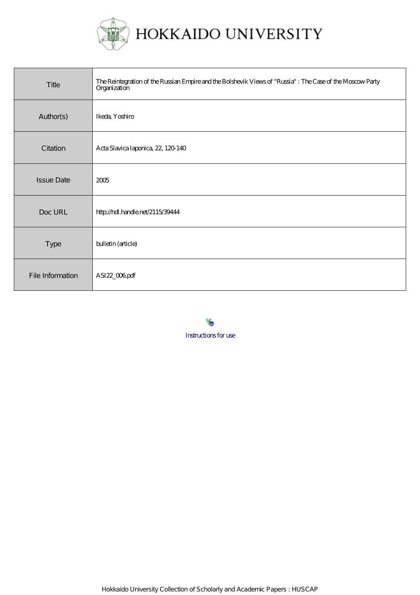

| Title             | The Reintegration of the Russian Empire and the Bolshevik Views of "Russia" : The Case of the Moscow Party<br>Organization |
|-------------------|----------------------------------------------------------------------------------------------------------------------------|
| Author(s)         | Ikeda, Yoshiro                                                                                                             |
| Citation          | Acta Slavica Iaponica, 22, 120 140                                                                                         |
| <b>Issue Date</b> | 2005                                                                                                                       |
| Doc URL           | http://hdl.handle.net/2115/39444                                                                                           |
| Type              | bulletin (article)                                                                                                         |
| File Information  | ASI22_006pdf                                                                                                               |

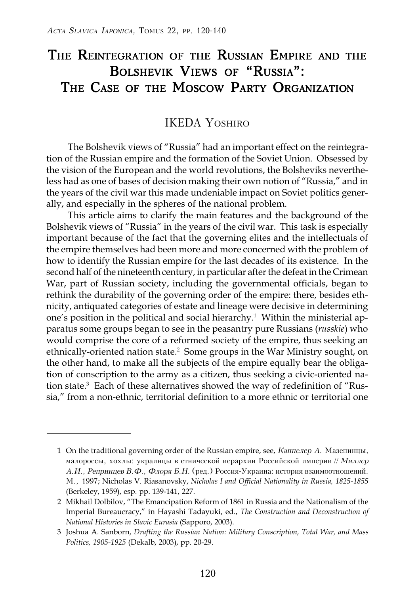# THE REINTEGRATION OF THE RUSSIAN EMPIRE AND THE BOLSHEVIK VIEWS OF "RUSSIA": THE CASE OF THE MOSCOW PARTY ORGANIZATION

## IKEDA YOSHIRO

The Bolshevik views of "Russia" had an important effect on the reintegration of the Russian empire and the formation of the Soviet Union. Obsessed by the vision of the European and the world revolutions, the Bolsheviks nevertheless had as one of bases of decision making their own notion of "Russia," and in the years of the civil war this made undeniable impact on Soviet politics generally, and especially in the spheres of the national problem.

This article aims to clarify the main features and the background of the Bolshevik views of "Russia" in the years of the civil war. This task is especially important because of the fact that the governing elites and the intellectuals of the empire themselves had been more and more concerned with the problem of how to identify the Russian empire for the last decades of its existence. In the second half of the nineteenth century, in particular after the defeat in the Crimean War, part of Russian society, including the governmental officials, began to rethink the durability of the governing order of the empire: there, besides ethnicity, antiquated categories of estate and lineage were decisive in determining one's position in the political and social hierarchy.1 Within the ministerial apparatus some groups began to see in the peasantry pure Russians (*russkie*) who would comprise the core of a reformed society of the empire, thus seeking an ethnically-oriented nation state.<sup>2</sup> Some groups in the War Ministry sought, on the other hand, to make all the subjects of the empire equally bear the obligation of conscription to the army as a citizen, thus seeking a civic-oriented nation state.<sup>3</sup> Each of these alternatives showed the way of redefinition of "Russia," from a non-ethnic, territorial definition to a more ethnic or territorial one

<sup>1</sup> On the traditional governing order of the Russian empire, see, Каппелер А. Мазепинцы, малороссы, хохлы: украинцы в етнической иерархии Российской империи // Миллер А.И., Репринцев В.Ф., Флоря Б.Н. (ред.) Россия-Украина: история взаимоотношений. M., 1997; Nicholas V. Riasanovsky, *Nicholas I and Official Nationality in Russia, 1825-1855* (Berkeley, 1959), esp. pp. 139-141, 227.

<sup>2</sup> Mikhail Dolbilov, "The Emancipation Reform of 1861 in Russia and the Nationalism of the Imperial Bureaucracy," in Hayashi Tadayuki, ed., *The Construction and Deconstruction of National Histories in Slavic Eurasia* (Sapporo, 2003).

<sup>3</sup> Joshua A. Sanborn, *Drafting the Russian Nation: Military Conscription, Total War, and Mass Politics, 1905-1925* (Dekalb, 2003), pp. 20-29.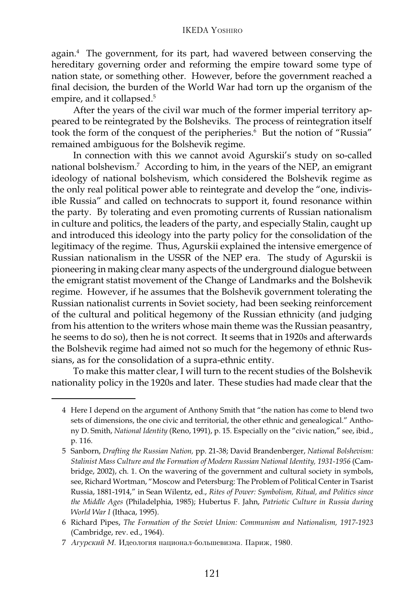#### IKEDA YOSHIRO

again.4 The government, for its part, had wavered between conserving the hereditary governing order and reforming the empire toward some type of nation state, or something other. However, before the government reached a final decision, the burden of the World War had torn up the organism of the empire, and it collapsed.<sup>5</sup>

After the years of the civil war much of the former imperial territory appeared to be reintegrated by the Bolsheviks. The process of reintegration itself took the form of the conquest of the peripheries.<sup>6</sup> But the notion of "Russia" remained ambiguous for the Bolshevik regime.

In connection with this we cannot avoid Agurskii's study on so-called national bolshevism.7 According to him, in the years of the NEP, an emigrant ideology of national bolshevism, which considered the Bolshevik regime as the only real political power able to reintegrate and develop the "one, indivisible Russia" and called on technocrats to support it, found resonance within the party. By tolerating and even promoting currents of Russian nationalism in culture and politics, the leaders of the party, and especially Stalin, caught up and introduced this ideology into the party policy for the consolidation of the legitimacy of the regime. Thus, Agurskii explained the intensive emergence of Russian nationalism in the USSR of the NEP era. The study of Agurskii is pioneering in making clear many aspects of the underground dialogue between the emigrant statist movement of the Change of Landmarks and the Bolshevik regime. However, if he assumes that the Bolshevik government tolerating the Russian nationalist currents in Soviet society, had been seeking reinforcement of the cultural and political hegemony of the Russian ethnicity (and judging from his attention to the writers whose main theme was the Russian peasantry, he seems to do so), then he is not correct. It seems that in 1920s and afterwards the Bolshevik regime had aimed not so much for the hegemony of ethnic Russians, as for the consolidation of a supra-ethnic entity.

To make this matter clear, I will turn to the recent studies of the Bolshevik nationality policy in the 1920s and later. These studies had made clear that the

<sup>4</sup> Here I depend on the argument of Anthony Smith that "the nation has come to blend two sets of dimensions, the one civic and territorial, the other ethnic and genealogical." Anthony D. Smith, *National Identity* (Reno, 1991), p. 15. Especially on the "civic nation," see, ibid., p. 116.

<sup>5</sup> Sanborn, *Drafting the Russian Nation,* pp. 21-38; David Brandenberger, *National Bolshevism: Stalinist Mass Culture and the Formation of Modern Russian National Identity, 1931-1956* (Cambridge, 2002), ch. 1. On the wavering of the government and cultural society in symbols, see, Richard Wortman, "Moscow and Petersburg: The Problem of Political Center in Tsarist Russia, 1881-1914," in Sean Wilentz, ed., *Rites of Power: Symbolism, Ritual, and Politics since the Middle Ages* (Philadelphia, 1985); Hubertus F. Jahn, *Patriotic Culture in Russia during World War I* (Ithaca, 1995).

<sup>6</sup> Richard Pipes, *The Formation of the Soviet Union: Communism and Nationalism, 1917-1923* (Cambridge, rev. ed., 1964).

<sup>7</sup> Агурский М. Идеология национал-большевизма. Париж, 1980.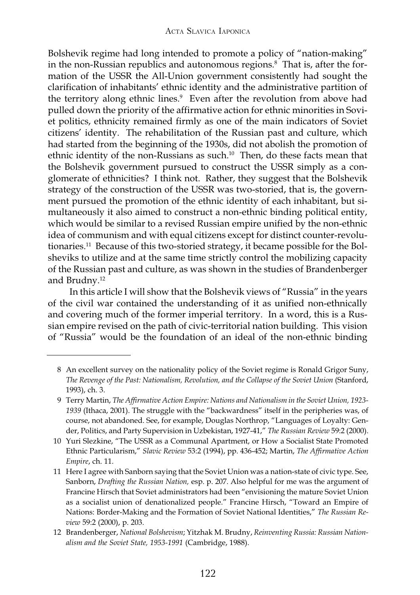Bolshevik regime had long intended to promote a policy of "nation-making" in the non-Russian republics and autonomous regions. $^8\,$  That is, after the formation of the USSR the All-Union government consistently had sought the clarification of inhabitants' ethnic identity and the administrative partition of the territory along ethnic lines.<sup>9</sup> Even after the revolution from above had pulled down the priority of the affirmative action for ethnic minorities in Soviet politics, ethnicity remained firmly as one of the main indicators of Soviet citizens' identity. The rehabilitation of the Russian past and culture, which had started from the beginning of the 1930s, did not abolish the promotion of ethnic identity of the non-Russians as such.10 Then, do these facts mean that the Bolshevik government pursued to construct the USSR simply as a conglomerate of ethnicities? I think not. Rather, they suggest that the Bolshevik strategy of the construction of the USSR was two-storied, that is, the government pursued the promotion of the ethnic identity of each inhabitant, but simultaneously it also aimed to construct a non-ethnic binding political entity, which would be similar to a revised Russian empire unified by the non-ethnic idea of communism and with equal citizens except for distinct counter-revolutionaries.11 Because of this two-storied strategy, it became possible for the Bolsheviks to utilize and at the same time strictly control the mobilizing capacity of the Russian past and culture, as was shown in the studies of Brandenberger and Brudny.12

In this article I will show that the Bolshevik views of "Russia" in the years of the civil war contained the understanding of it as unified non-ethnically and covering much of the former imperial territory. In a word, this is a Russian empire revised on the path of civic-territorial nation building. This vision of "Russia" would be the foundation of an ideal of the non-ethnic binding

10 Yuri Slezkine, "The USSR as a Communal Apartment, or How a Socialist State Promoted Ethnic Particularism," *Slavic Review* 53:2 (1994), pp. 436-452; Martin, *The Affirmative Action Empire*, ch. 11.

11 Here I agree with Sanborn saying that the Soviet Union was a nation-state of civic type. See, Sanborn, *Drafting the Russian Nation,* esp. p. 207. Also helpful for me was the argument of Francine Hirsch that Soviet administrators had been "envisioning the mature Soviet Union as a socialist union of denationalized people." Francine Hirsch, "Toward an Empire of Nations: Border-Making and the Formation of Soviet National Identities," *The Russian Review* 59:2 (2000), p. 203.

<sup>8</sup> An excellent survey on the nationality policy of the Soviet regime is Ronald Grigor Suny, *The Revenge of the Past: Nationalism, Revolution, and the Collapse of the Soviet Union* (Stanford, 1993), ch. 3.

<sup>9</sup> Terry Martin, *The Affirmative Action Empire: Nations and Nationalism in the Soviet Union, 1923- 1939* (Ithaca, 2001). The struggle with the "backwardness" itself in the peripheries was, of course, not abandoned. See, for example, Douglas Northrop, "Languages of Loyalty: Gender, Politics, and Party Supervision in Uzbekistan, 1927-41," *The Russian Review* 59:2 (2000).

<sup>12</sup> Brandenberger, *National Bolshevism*; Yitzhak M. Brudny, *Reinventing Russia: Russian Nationalism and the Soviet State, 1953-1991* (Cambridge, 1988).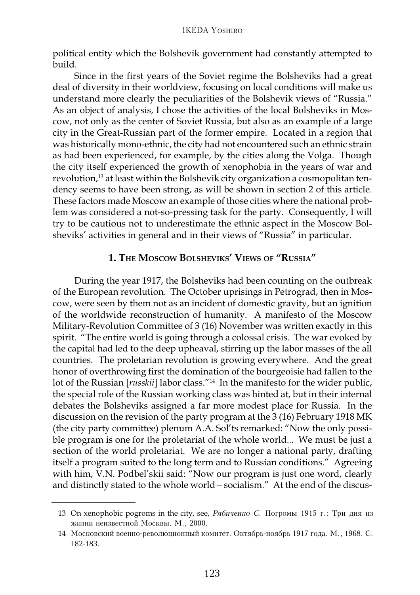political entity which the Bolshevik government had constantly attempted to build.

Since in the first years of the Soviet regime the Bolsheviks had a great deal of diversity in their worldview, focusing on local conditions will make us understand more clearly the peculiarities of the Bolshevik views of "Russia." As an object of analysis, I chose the activities of the local Bolsheviks in Moscow, not only as the center of Soviet Russia, but also as an example of a large city in the Great-Russian part of the former empire. Located in a region that was historically mono-ethnic, the city had not encountered such an ethnic strain as had been experienced, for example, by the cities along the Volga. Though the city itself experienced the growth of xenophobia in the years of war and revolution,<sup>13</sup> at least within the Bolshevik city organization a cosmopolitan tendency seems to have been strong, as will be shown in section 2 of this article. These factors made Moscow an example of those cities where the national problem was considered a not-so-pressing task for the party. Consequently, I will try to be cautious not to underestimate the ethnic aspect in the Moscow Bolsheviks' activities in general and in their views of "Russia" in particular.

#### **1. THE MOSCOW BOLSHEVIKS' VIEWS OF "RUSSIA"**

During the year 1917, the Bolsheviks had been counting on the outbreak of the European revolution. The October uprisings in Petrograd, then in Moscow, were seen by them not as an incident of domestic gravity, but an ignition of the worldwide reconstruction of humanity. A manifesto of the Moscow Military-Revolution Committee of 3 (16) November was written exactly in this spirit. "The entire world is going through a colossal crisis. The war evoked by the capital had led to the deep upheaval, stirring up the labor masses of the all countries. The proletarian revolution is growing everywhere. And the great honor of overthrowing first the domination of the bourgeoisie had fallen to the lot of the Russian [*russkii*] labor class."14 In the manifesto for the wider public, the special role of the Russian working class was hinted at, but in their internal debates the Bolsheviks assigned a far more modest place for Russia. In the discussion on the revision of the party program at the 3 (16) February 1918 MK (the city party committee) plenum A.A. Sol'ts remarked: "Now the only possible program is one for the proletariat of the whole world... We must be just a section of the world proletariat. We are no longer a national party, drafting itself a program suited to the long term and to Russian conditions." Agreeing with him, V.N. Podbel'skii said: "Now our program is just one word, clearly and distinctly stated to the whole world – socialism." At the end of the discus-

<sup>13</sup> On xenophobic pogroms in the city, see, Рябиченко С. Погромы 1915 г.: Три дня из жизни неизвестной Москвы. М., 2000.

<sup>14</sup> Московский военно-революционный комитет. Октябрь-ноябрь 1917 года. М., 1968. С. 182-183.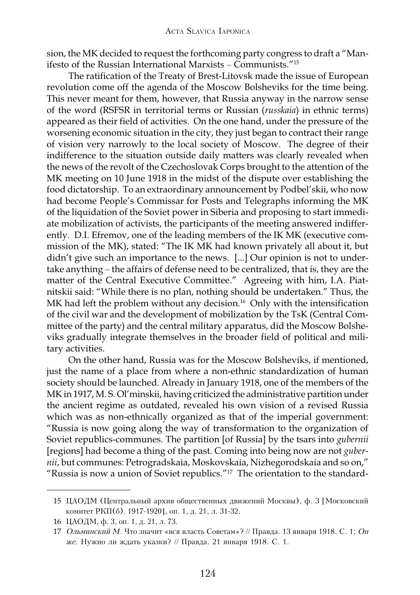sion, the MK decided to request the forthcoming party congress to draft a "Manifesto of the Russian International Marxists – Communists."15

The ratification of the Treaty of Brest-Litovsk made the issue of European revolution come off the agenda of the Moscow Bolsheviks for the time being. This never meant for them, however, that Russia anyway in the narrow sense of the word (RSFSR in territorial terms or Russian (*russkaia*) in ethnic terms) appeared as their field of activities. On the one hand, under the pressure of the worsening economic situation in the city, they just began to contract their range of vision very narrowly to the local society of Moscow. The degree of their indifference to the situation outside daily matters was clearly revealed when the news of the revolt of the Czechoslovak Corps brought to the attention of the MK meeting on 10 June 1918 in the midst of the dispute over establishing the food dictatorship. To an extraordinary announcement by Podbel'skii, who now had become People's Commissar for Posts and Telegraphs informing the MK of the liquidation of the Soviet power in Siberia and proposing to start immediate mobilization of activists, the participants of the meeting answered indifferently. D.I. Efremov, one of the leading members of the IK MK (executive commission of the MK), stated: "The IK MK had known privately all about it, but didn't give such an importance to the news. [...] Our opinion is not to undertake anything – the affairs of defense need to be centralized, that is, they are the matter of the Central Executive Committee." Agreeing with him, I.A. Piatnitskii said: "While there is no plan, nothing should be undertaken." Thus, the MK had left the problem without any decision.<sup>16</sup> Only with the intensification of the civil war and the development of mobilization by the TsK (Central Committee of the party) and the central military apparatus, did the Moscow Bolsheviks gradually integrate themselves in the broader field of political and military activities.

On the other hand, Russia was for the Moscow Bolsheviks, if mentioned, just the name of a place from where a non-ethnic standardization of human society should be launched. Already in January 1918, one of the members of the MK in 1917, M. S. Ol'minskii, having criticized the administrative partition under the ancient regime as outdated, revealed his own vision of a revised Russia which was as non-ethnically organized as that of the imperial government: "Russia is now going along the way of transformation to the organization of Soviet republics-communes. The partition [of Russia] by the tsars into *gubernii* [regions] had become a thing of the past. Coming into being now are not *gubernii*, but communes: Petrogradskaia, Moskovskaia, Nizhegorodskaia and so on," "Russia is now a union of Soviet republics."17 The orientation to the standard-

<sup>15</sup> ЦАОДМ (Центральный архив общественных движений Москвы), ф. 3 [Московский комитет РКП(б). 1917-1920], оп. 1, д. 21, л. 31-32.

<sup>16</sup> ЦАОДМ, ф. 3, оп. 1, д. 21, л. 73.

<sup>17</sup> Ольминский М. Что значит «вся власть Советам»? // Правда. 13 января 1918. С. 1; Он же. Нужно ли ждать указки? // Правда. 21 января 1918. С. 1.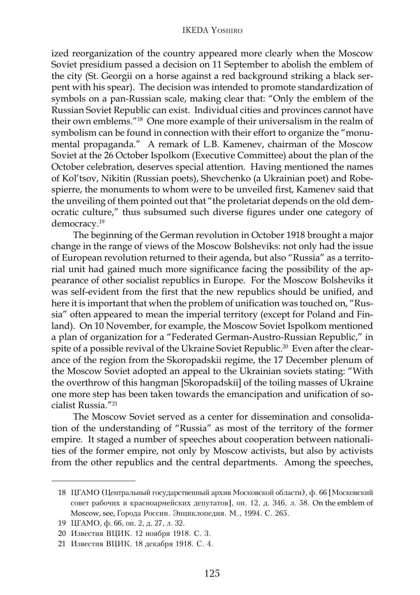ized reorganization of the country appeared more clearly when the Moscow Soviet presidium passed a decision on 11 September to abolish the emblem of the city (St. Georgii on a horse against a red background striking a black serpent with his spear). The decision was intended to promote standardization of symbols on a pan-Russian scale, making clear that: "Only the emblem of the Russian Soviet Republic can exist. Individual cities and provinces cannot have their own emblems."18 One more example of their universalism in the realm of symbolism can be found in connection with their effort to organize the "monumental propaganda." A remark of L.B. Kamenev, chairman of the Moscow Soviet at the 26 October Ispolkom (Executive Committee) about the plan of the October celebration, deserves special attention. Having mentioned the names of Kol'tsov, Nikitin (Russian poets), Shevchenko (a Ukrainian poet) and Robespierre, the monuments to whom were to be unveiled first, Kamenev said that the unveiling of them pointed out that "the proletariat depends on the old democratic culture," thus subsumed such diverse figures under one category of democracy.19

The beginning of the German revolution in October 1918 brought a major change in the range of views of the Moscow Bolsheviks: not only had the issue of European revolution returned to their agenda, but also "Russia" as a territorial unit had gained much more significance facing the possibility of the appearance of other socialist republics in Europe. For the Moscow Bolsheviks it was self-evident from the first that the new republics should be unified, and here it is important that when the problem of unification was touched on, "Russia" often appeared to mean the imperial territory (except for Poland and Finland). On 10 November, for example, the Moscow Soviet Ispolkom mentioned a plan of organization for a "Federated German-Austro-Russian Republic," in spite of a possible revival of the Ukraine Soviet Republic.<sup>20</sup> Even after the clearance of the region from the Skoropadskii regime, the 17 December plenum of the Moscow Soviet adopted an appeal to the Ukrainian soviets stating: "With the overthrow of this hangman [Skoropadskii] of the toiling masses of Ukraine one more step has been taken towards the emancipation and unification of socialist Russia."21

The Moscow Soviet served as a center for dissemination and consolidation of the understanding of "Russia" as most of the territory of the former empire. It staged a number of speeches about cooperation between nationalities of the former empire, not only by Moscow activists, but also by activists from the other republics and the central departments. Among the speeches,

<sup>18</sup> ЦГАМО (Центральный государственный архив Московской области), ф. 66 [Московский совет рабочих и красноармейских депутатов], оп. 12, д. 346, л. 58. On the emblem of Moscow, see, Города России. Энциклопедия. М., 1994. С. 265.

<sup>19</sup> ЦГАМО, ф. 66, оп. 2, д. 27, л. 32.

<sup>20</sup> Известия ВЦИК. 12 ноября 1918. С. 3.

<sup>21</sup> Известия ВЦИК. 18 декабря 1918. С. 4.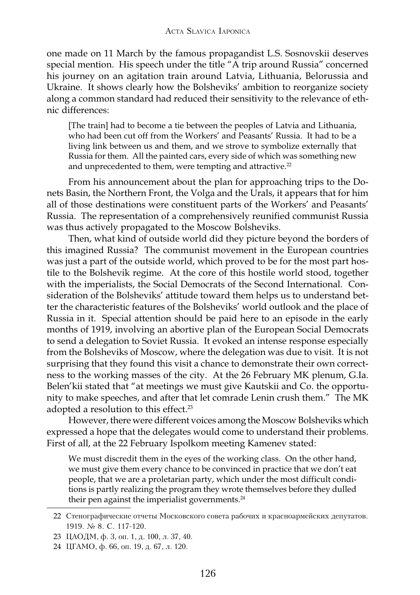one made on 11 March by the famous propagandist L.S. Sosnovskii deserves special mention. His speech under the title "A trip around Russia" concerned his journey on an agitation train around Latvia, Lithuania, Belorussia and Ukraine. It shows clearly how the Bolsheviks' ambition to reorganize society along a common standard had reduced their sensitivity to the relevance of ethnic differences:

[The train] had to become a tie between the peoples of Latvia and Lithuania, who had been cut off from the Workers' and Peasants' Russia. It had to be a living link between us and them, and we strove to symbolize externally that Russia for them. All the painted cars, every side of which was something new and unprecedented to them, were tempting and attractive. $22$ 

From his announcement about the plan for approaching trips to the Donets Basin, the Northern Front, the Volga and the Urals, it appears that for him all of those destinations were constituent parts of the Workers' and Peasants' Russia. The representation of a comprehensively reunified communist Russia was thus actively propagated to the Moscow Bolsheviks.

Then, what kind of outside world did they picture beyond the borders of this imagined Russia? The communist movement in the European countries was just a part of the outside world, which proved to be for the most part hostile to the Bolshevik regime. At the core of this hostile world stood, together with the imperialists, the Social Democrats of the Second International. Consideration of the Bolsheviks' attitude toward them helps us to understand better the characteristic features of the Bolsheviks' world outlook and the place of Russia in it. Special attention should be paid here to an episode in the early months of 1919, involving an abortive plan of the European Social Democrats to send a delegation to Soviet Russia. It evoked an intense response especially from the Bolsheviks of Moscow, where the delegation was due to visit. It is not surprising that they found this visit a chance to demonstrate their own correctness to the working masses of the city. At the 26 February MK plenum, G.Ia. Belen'kii stated that "at meetings we must give Kautskii and Co. the opportunity to make speeches, and after that let comrade Lenin crush them." The MK adopted a resolution to this effect.<sup>23</sup>

However, there were different voices among the Moscow Bolsheviks which expressed a hope that the delegates would come to understand their problems. First of all, at the 22 February Ispolkom meeting Kamenev stated:

We must discredit them in the eyes of the working class. On the other hand, we must give them every chance to be convinced in practice that we don't eat people, that we are a proletarian party, which under the most difficult conditions is partly realizing the program they wrote themselves before they dulled their pen against the imperialist governments.<sup>24</sup>

<sup>22</sup> Стенографические отчеты Московского совета рабочих и красноармейских депутатов. 1919. № 8. C. 117-120.

<sup>23</sup> ЦАОДМ, ф. 3, оп. 1, д. 100, л. 37, 40.

<sup>24</sup> ЦГАМО, ф. 66, оп. 19, д. 67, л. 120.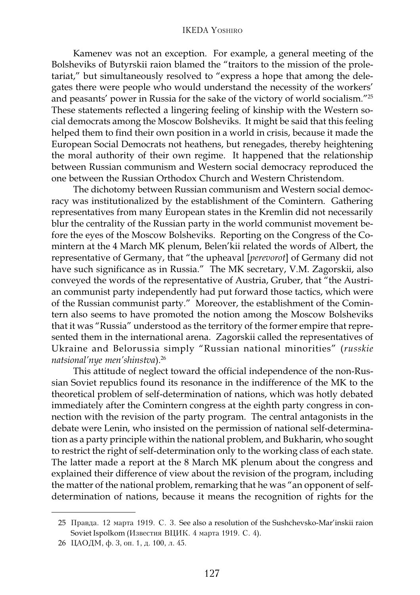Kamenev was not an exception. For example, a general meeting of the Bolsheviks of Butyrskii raion blamed the "traitors to the mission of the proletariat," but simultaneously resolved to "express a hope that among the delegates there were people who would understand the necessity of the workers' and peasants' power in Russia for the sake of the victory of world socialism."25 These statements reflected a lingering feeling of kinship with the Western social democrats among the Moscow Bolsheviks. It might be said that this feeling helped them to find their own position in a world in crisis, because it made the European Social Democrats not heathens, but renegades, thereby heightening the moral authority of their own regime. It happened that the relationship between Russian communism and Western social democracy reproduced the one between the Russian Orthodox Church and Western Christendom.

The dichotomy between Russian communism and Western social democracy was institutionalized by the establishment of the Comintern. Gathering representatives from many European states in the Kremlin did not necessarily blur the centrality of the Russian party in the world communist movement before the eyes of the Moscow Bolsheviks. Reporting on the Congress of the Comintern at the 4 March MK plenum, Belen'kii related the words of Albert, the representative of Germany, that "the upheaval [*perevorot*] of Germany did not have such significance as in Russia." The MK secretary, V.M. Zagorskii, also conveyed the words of the representative of Austria, Gruber, that "the Austrian communist party independently had put forward those tactics, which were of the Russian communist party." Moreover, the establishment of the Comintern also seems to have promoted the notion among the Moscow Bolsheviks that it was "Russia" understood as the territory of the former empire that represented them in the international arena. Zagorskii called the representatives of Ukraine and Belorussia simply "Russian national minorities" (*russkie natsional'nye men'shinstva*).26

This attitude of neglect toward the official independence of the non-Russian Soviet republics found its resonance in the indifference of the MK to the theoretical problem of self-determination of nations, which was hotly debated immediately after the Comintern congress at the eighth party congress in connection with the revision of the party program. The central antagonists in the debate were Lenin, who insisted on the permission of national self-determination as a party principle within the national problem, and Bukharin, who sought to restrict the right of self-determination only to the working class of each state. The latter made a report at the 8 March MK plenum about the congress and explained their difference of view about the revision of the program, including the matter of the national problem, remarking that he was "an opponent of selfdetermination of nations, because it means the recognition of rights for the

<sup>25</sup> Правда. 12 марта 1919. С. 3. See also a resolution of the Sushchevsko-Mar'inskii raion Soviet Ispolkom (Известия ВЦИК. 4 марта 1919. С. 4).

<sup>26</sup> ЦАОДМ, ф. 3, оп. 1, д. 100, л. 45.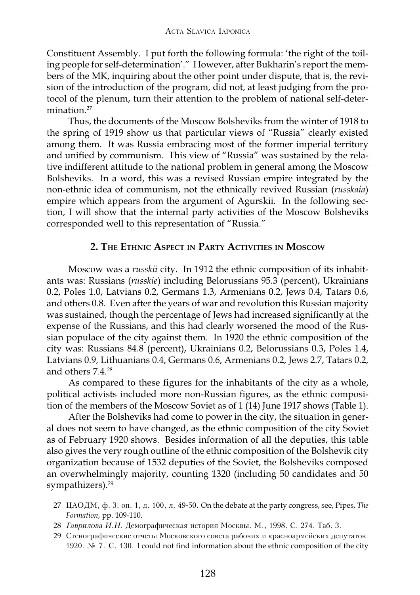Constituent Assembly. I put forth the following formula: 'the right of the toiling people for self-determination'." However, after Bukharin's report the members of the MK, inquiring about the other point under dispute, that is, the revision of the introduction of the program, did not, at least judging from the protocol of the plenum, turn their attention to the problem of national self-determination $27$ 

Thus, the documents of the Moscow Bolsheviks from the winter of 1918 to the spring of 1919 show us that particular views of "Russia" clearly existed among them. It was Russia embracing most of the former imperial territory and unified by communism. This view of "Russia" was sustained by the relative indifferent attitude to the national problem in general among the Moscow Bolsheviks. In a word, this was a revised Russian empire integrated by the non-ethnic idea of communism, not the ethnically revived Russian (*russkaia*) empire which appears from the argument of Agurskii. In the following section, I will show that the internal party activities of the Moscow Bolsheviks corresponded well to this representation of "Russia."

## **2. THE ETHNIC ASPECT IN PARTY ACTIVITIES IN MOSCOW**

Moscow was a *russkii* city. In 1912 the ethnic composition of its inhabitants was: Russians (*russkie*) including Belorussians 95.3 (percent), Ukrainians 0.2, Poles 1.0, Latvians 0.2, Germans 1.3, Armenians 0.2, Jews 0.4, Tatars 0.6, and others 0.8. Even after the years of war and revolution this Russian majority was sustained, though the percentage of Jews had increased significantly at the expense of the Russians, and this had clearly worsened the mood of the Russian populace of the city against them. In 1920 the ethnic composition of the city was: Russians 84.8 (percent), Ukrainians 0.2, Belorussians 0.3, Poles 1.4, Latvians 0.9, Lithuanians 0.4, Germans 0.6, Armenians 0.2, Jews 2.7, Tatars 0.2, and others 7.4.28

As compared to these figures for the inhabitants of the city as a whole, political activists included more non-Russian figures, as the ethnic composition of the members of the Moscow Soviet as of 1  $(14)$  June 1917 shows (Table 1).

After the Bolsheviks had come to power in the city, the situation in general does not seem to have changed, as the ethnic composition of the city Soviet as of February 1920 shows. Besides information of all the deputies, this table also gives the very rough outline of the ethnic composition of the Bolshevik city organization because of 1532 deputies of the Soviet, the Bolsheviks composed an overwhelmingly majority, counting 1320 (including 50 candidates and 50 sympathizers).<sup>29</sup>

<sup>27</sup> ЦАОДМ, ф. 3, оп. 1, д. 100, л. 49-50. On the debate at the party congress, see, Pipes, *The Formation*, pp. 109-110.

<sup>28</sup> Гаврилова И.Н. Демографическая история Москвы. М., 1998. С. 274. Таб. 3.

<sup>29</sup> Стенографические отчеты Московского совета рабочих и красноармейских депутатов. 1920. No 7. C. 130. I could not find information about the ethnic composition of the city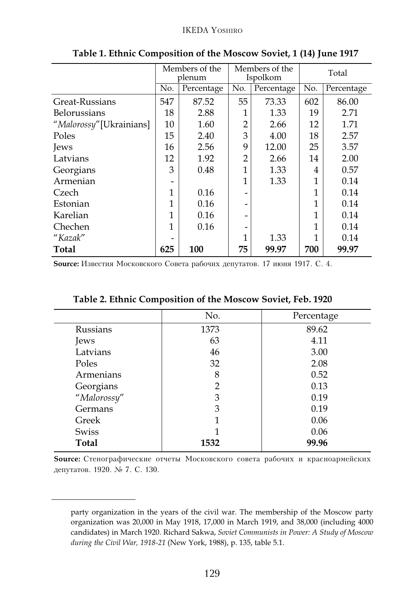|                         | Members of the<br>plenum |            | Members of the<br>Ispolkom |            | Total |            |
|-------------------------|--------------------------|------------|----------------------------|------------|-------|------------|
|                         | No.                      | Percentage | No.                        | Percentage | No.   | Percentage |
| Great-Russians          | 547                      | 87.52      | 55                         | 73.33      | 602   | 86.00      |
| <b>Belorussians</b>     | 18                       | 2.88       |                            | 1.33       | 19    | 2.71       |
| "Malorossy"[Ukrainians] | 10                       | 1.60       | $\overline{2}$             | 2.66       | 12    | 1.71       |
| Poles                   | 15                       | 2.40       | 3                          | 4.00       | 18    | 2.57       |
| Jews                    | 16                       | 2.56       | 9                          | 12.00      | 25    | 3.57       |
| Latvians                | 12                       | 1.92       | $\overline{2}$             | 2.66       | 14    | 2.00       |
| Georgians               | 3                        | 0.48       | 1                          | 1.33       | 4     | 0.57       |
| Armenian                |                          |            | 1                          | 1.33       |       | 0.14       |
| Czech                   | 1                        | 0.16       | -                          |            | 1     | 0.14       |
| Estonian                | 1                        | 0.16       |                            |            | 1     | 0.14       |
| Karelian                | 1                        | 0.16       |                            |            | 1     | 0.14       |
| Chechen                 | 1                        | 0.16       |                            |            | 1     | 0.14       |
| "Kazak"                 |                          |            | 1                          | 1.33       |       | 0.14       |
| <b>Total</b>            | 625                      | 100        | 75                         | 99.97      | 700   | 99.97      |

**Table 1. Ethnic Composition of the Moscow Soviet, 1 (14) June 1917**

**Source:** Известия Московского Совета рабочих депутатов. 17 июня 1917. С. 4.

|                 | No.            | Percentage |
|-----------------|----------------|------------|
| <b>Russians</b> | 1373           | 89.62      |
| Jews            | 63             | 4.11       |
| Latvians        | 46             | 3.00       |
| Poles           | 32             | 2.08       |
| Armenians       | 8              | 0.52       |
| Georgians       | $\overline{2}$ | 0.13       |
| "Malorossy"     | 3              | 0.19       |
| Germans         | 3              | 0.19       |
| Greek           | 1              | 0.06       |
| <b>Swiss</b>    |                | 0.06       |
| <b>Total</b>    | 1532           | 99.96      |

### **Table 2. Ethnic Composition of the Moscow Soviet, Feb. 1920**

**Source:** Стенографические отчеты Московского совета рабочих и красноармейских депутатов. 1920. № 7. С. 130.

party organization in the years of the civil war. The membership of the Moscow party organization was 20,000 in May 1918, 17,000 in March 1919, and 38,000 (including 4000 candidates) in March 1920. Richard Sakwa, *Soviet Communists in Power: A Study of Moscow during the Civil War, 1918-21* (New York, 1988), p. 135, table 5.1.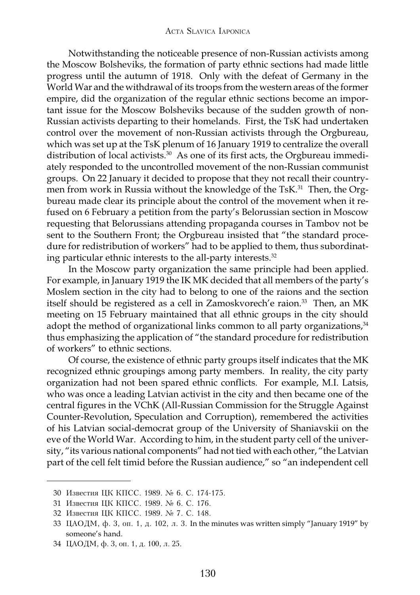Notwithstanding the noticeable presence of non-Russian activists among the Moscow Bolsheviks, the formation of party ethnic sections had made little progress until the autumn of 1918. Only with the defeat of Germany in the World War and the withdrawal of its troops from the western areas of the former empire, did the organization of the regular ethnic sections become an important issue for the Moscow Bolsheviks because of the sudden growth of non-Russian activists departing to their homelands. First, the TsK had undertaken control over the movement of non-Russian activists through the Orgbureau, which was set up at the TsK plenum of 16 January 1919 to centralize the overall distribution of local activists.<sup>30</sup> As one of its first acts, the Orgbureau immediately responded to the uncontrolled movement of the non-Russian communist groups. On 22 January it decided to propose that they not recall their countrymen from work in Russia without the knowledge of the TsK.<sup>31</sup> Then, the Orgbureau made clear its principle about the control of the movement when it refused on 6 February a petition from the party's Belorussian section in Moscow requesting that Belorussians attending propaganda courses in Tambov not be sent to the Southern Front; the Orgbureau insisted that "the standard procedure for redistribution of workers" had to be applied to them, thus subordinating particular ethnic interests to the all-party interests.<sup>32</sup>

In the Moscow party organization the same principle had been applied. For example, in January 1919 the IK MK decided that all members of the party's Moslem section in the city had to belong to one of the raions and the section itself should be registered as a cell in Zamoskvorech'e raion.<sup>33</sup> Then, an MK meeting on 15 February maintained that all ethnic groups in the city should adopt the method of organizational links common to all party organizations, $34$ thus emphasizing the application of "the standard procedure for redistribution of workers" to ethnic sections.

Of course, the existence of ethnic party groups itself indicates that the MK recognized ethnic groupings among party members. In reality, the city party organization had not been spared ethnic conflicts. For example, M.I. Latsis, who was once a leading Latvian activist in the city and then became one of the central figures in the VChK (All-Russian Commission for the Struggle Against Counter-Revolution, Speculation and Corruption), remembered the activities of his Latvian social-democrat group of the University of Shaniavskii on the eve of the World War. According to him, in the student party cell of the university, "its various national components" had not tied with each other, "the Latvian part of the cell felt timid before the Russian audience," so "an independent cell

<sup>30</sup> Известия ЦК КПСС. 1989. № 6. С. 174-175.

<sup>31</sup> Известия ЦК КПСС. 1989. № 6. С. 176.

<sup>32</sup> Известия ЦК КПСС. 1989. № 7. С. 148.

<sup>33</sup> ЦАОДМ, ф. 3, оп. 1, д. 102, л. 3. In the minutes was written simply "January 1919" by someone's hand.

<sup>34</sup> ЦАОДМ, ф. 3, оп. 1, д. 100, л. 25.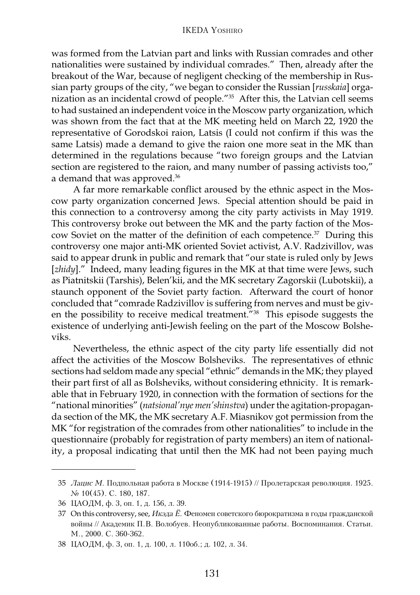was formed from the Latvian part and links with Russian comrades and other nationalities were sustained by individual comrades." Then, already after the breakout of the War, because of negligent checking of the membership in Russian party groups of the city, "we began to consider the Russian [*russkaia*] organization as an incidental crowd of people."35 After this, the Latvian cell seems to had sustained an independent voice in the Moscow party organization, which was shown from the fact that at the MK meeting held on March 22, 1920 the representative of Gorodskoi raion, Latsis (I could not confirm if this was the same Latsis) made a demand to give the raion one more seat in the MK than determined in the regulations because "two foreign groups and the Latvian section are registered to the raion, and many number of passing activists too," a demand that was approved.<sup>36</sup>

A far more remarkable conflict aroused by the ethnic aspect in the Moscow party organization concerned Jews. Special attention should be paid in this connection to a controversy among the city party activists in May 1919. This controversy broke out between the MK and the party faction of the Moscow Soviet on the matter of the definition of each competence.37 During this controversy one major anti-MK oriented Soviet activist, A.V. Radzivillov, was said to appear drunk in public and remark that "our state is ruled only by Jews [*zhidy*]." Indeed, many leading figures in the MK at that time were Jews, such as Piatnitskii (Tarshis), Belen'kii, and the MK secretary Zagorskii (Lubotskii), a staunch opponent of the Soviet party faction. Afterward the court of honor concluded that "comrade Radzivillov is suffering from nerves and must be given the possibility to receive medical treatment."38 This episode suggests the existence of underlying anti-Jewish feeling on the part of the Moscow Bolsheviks.

Nevertheless, the ethnic aspect of the city party life essentially did not affect the activities of the Moscow Bolsheviks. The representatives of ethnic sections had seldom made any special "ethnic" demands in the MK; they played their part first of all as Bolsheviks, without considering ethnicity. It is remarkable that in February 1920, in connection with the formation of sections for the "national minorities" (*natsional'nye men'shinstva*) under the agitation-propaganda section of the MK, the MK secretary A.F. Miasnikov got permission from the MK "for registration of the comrades from other nationalities" to include in the questionnaire (probably for registration of party members) an item of nationality, a proposal indicating that until then the MK had not been paying much

<sup>35</sup> Лацис М. Подпольная работа в Москве (1914-1915) // Пролетарская революция. 1925. N<sub>2</sub> 10(45). C. 180, 187.

<sup>36</sup> ЦАОДМ, ф. 3, оп. 1, д. 156, л. 39.

<sup>37</sup> On this controversy, see, Икэда Ё. Феномен советского бюрократизма в годы гражданской войны // Академик П.В. Волобуев. Неопубликованные работы. Воспоминания. Статьи. M., 2000. C. 360-362.

З8 ЦАОДМ, ф. 3, оп. 1, д. 100, л. 110об.; д. 102, л. 34.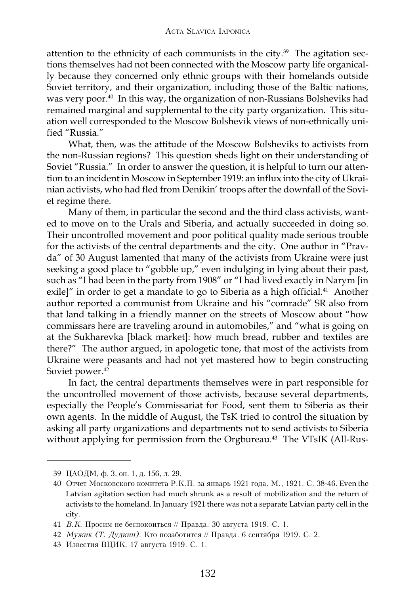attention to the ethnicity of each communists in the city.<sup>39</sup> The agitation sections themselves had not been connected with the Moscow party life organically because they concerned only ethnic groups with their homelands outside Soviet territory, and their organization, including those of the Baltic nations, was very poor.<sup>40</sup> In this way, the organization of non-Russians Bolsheviks had remained marginal and supplemental to the city party organization. This situation well corresponded to the Moscow Bolshevik views of non-ethnically unified "Russia."

What, then, was the attitude of the Moscow Bolsheviks to activists from the non-Russian regions? This question sheds light on their understanding of Soviet "Russia." In order to answer the question, it is helpful to turn our attention to an incident in Moscow in September 1919: an influx into the city of Ukrainian activists, who had fled from Denikin' troops after the downfall of the Soviet regime there.

Many of them, in particular the second and the third class activists, wanted to move on to the Urals and Siberia, and actually succeeded in doing so. Their uncontrolled movement and poor political quality made serious trouble for the activists of the central departments and the city. One author in "Pravda" of 30 August lamented that many of the activists from Ukraine were just seeking a good place to "gobble up," even indulging in lying about their past, such as "I had been in the party from 1908" or "I had lived exactly in Narym [in exile]" in order to get a mandate to go to Siberia as a high official.<sup>41</sup> Another author reported a communist from Ukraine and his "comrade" SR also from that land talking in a friendly manner on the streets of Moscow about "how commissars here are traveling around in automobiles," and "what is going on at the Sukharevka [black market]: how much bread, rubber and textiles are there?" The author argued, in apologetic tone, that most of the activists from Ukraine were peasants and had not yet mastered how to begin constructing Soviet power.<sup>42</sup>

In fact, the central departments themselves were in part responsible for the uncontrolled movement of those activists, because several departments, especially the People's Commissariat for Food, sent them to Siberia as their own agents. In the middle of August, the TsK tried to control the situation by asking all party organizations and departments not to send activists to Siberia without applying for permission from the Orgbureau.<sup>43</sup> The VTsIK (All-Rus-

<sup>39</sup> ЦАОДМ, ф. 3, оп. 1, д. 156, л. 29.

<sup>40</sup> Отчет Московского комитета Р.К.П. за январь 1921 года. М., 1921. С. 38-46. Even the Latvian agitation section had much shrunk as a result of mobilization and the return of activists to the homeland. In January 1921 there was not a separate Latvian party cell in the city.

<sup>41</sup> В.К. Просим не беспокоиться // Правда. 30 августа 1919. С. 1.

<sup>42</sup> *Мужик (Т. Дудкин)*. Кто позаботится // Правда. 6 сентября 1919. С. 2.

<sup>43</sup> Известия ВЦИК. 17 августа 1919. С. 1.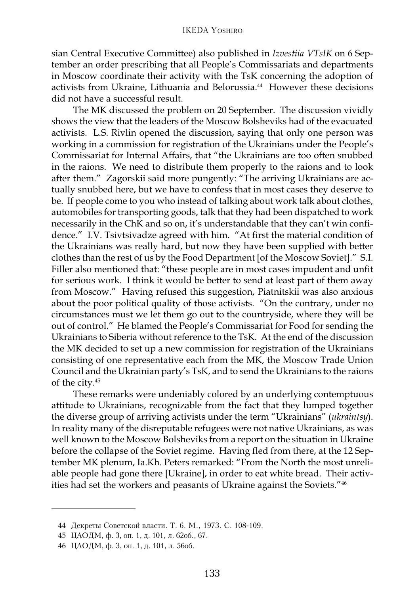sian Central Executive Committee) also published in *Izvestiia VTsIK* on 6 September an order prescribing that all People's Commissariats and departments in Moscow coordinate their activity with the TsK concerning the adoption of activists from Ukraine, Lithuania and Belorussia.<sup>44</sup> However these decisions did not have a successful result.

The MK discussed the problem on 20 September. The discussion vividly shows the view that the leaders of the Moscow Bolsheviks had of the evacuated activists. L.S. Rivlin opened the discussion, saying that only one person was working in a commission for registration of the Ukrainians under the People's Commissariat for Internal Affairs, that "the Ukrainians are too often snubbed in the raions. We need to distribute them properly to the raions and to look after them." Zagorskii said more pungently: "The arriving Ukrainians are actually snubbed here, but we have to confess that in most cases they deserve to be. If people come to you who instead of talking about work talk about clothes, automobiles for transporting goods, talk that they had been dispatched to work necessarily in the ChK and so on, it's understandable that they can't win confidence." I.V. Tsivtsivadze agreed with him. "At first the material condition of the Ukrainians was really hard, but now they have been supplied with better clothes than the rest of us by the Food Department [of the Moscow Soviet]." S.I. Filler also mentioned that: "these people are in most cases impudent and unfit for serious work. I think it would be better to send at least part of them away from Moscow." Having refused this suggestion, Piatnitskii was also anxious about the poor political quality of those activists. "On the contrary, under no circumstances must we let them go out to the countryside, where they will be out of control." He blamed the People's Commissariat for Food for sending the Ukrainians to Siberia without reference to the TsK. At the end of the discussion the MK decided to set up a new commission for registration of the Ukrainians consisting of one representative each from the MK, the Moscow Trade Union Council and the Ukrainian party's TsK, and to send the Ukrainians to the raions of the city.45

These remarks were undeniably colored by an underlying contemptuous attitude to Ukrainians, recognizable from the fact that they lumped together the diverse group of arriving activists under the term "Ukrainians" (*ukraintsy*). In reality many of the disreputable refugees were not native Ukrainians, as was well known to the Moscow Bolsheviks from a report on the situation in Ukraine before the collapse of the Soviet regime. Having fled from there, at the 12 September MK plenum, Ia.Kh. Peters remarked: "From the North the most unreliable people had gone there [Ukraine], in order to eat white bread. Their activities had set the workers and peasants of Ukraine against the Soviets."46

<sup>44</sup> Декреты Советской власти. Т. 6. М., 1973. С. 108-109.

<sup>45</sup> ЦАОДМ, ф. 3, оп. 1, д. 101, л. 62об., 67.

<sup>46</sup> ЦАОДМ, ф. 3, оп. 1, д. 101, л. 56об.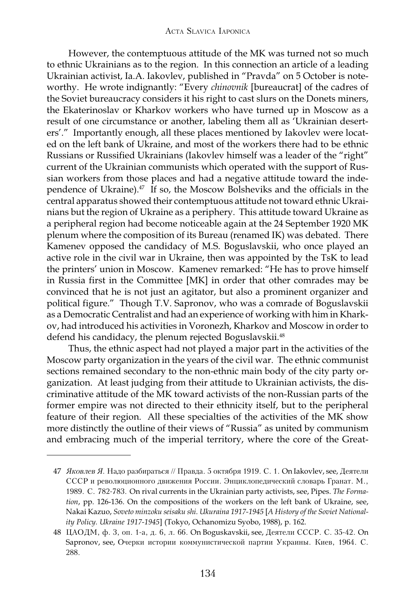However, the contemptuous attitude of the MK was turned not so much to ethnic Ukrainians as to the region. In this connection an article of a leading Ukrainian activist, Ia.A. Iakovlev, published in "Pravda" on 5 October is noteworthy. He wrote indignantly: "Every *chinovnik* [bureaucrat] of the cadres of the Soviet bureaucracy considers it his right to cast slurs on the Donets miners, the Ekaterinoslav or Kharkov workers who have turned up in Moscow as a result of one circumstance or another, labeling them all as 'Ukrainian deserters'." Importantly enough, all these places mentioned by Iakovlev were located on the left bank of Ukraine, and most of the workers there had to be ethnic Russians or Russified Ukrainians (Iakovlev himself was a leader of the "right" current of the Ukrainian communists which operated with the support of Russian workers from those places and had a negative attitude toward the independence of Ukraine).<sup>47</sup> If so, the Moscow Bolsheviks and the officials in the central apparatus showed their contemptuous attitude not toward ethnic Ukrainians but the region of Ukraine as a periphery. This attitude toward Ukraine as a peripheral region had become noticeable again at the 24 September 1920 MK plenum where the composition of its Bureau (renamed IK) was debated. There Kamenev opposed the candidacy of M.S. Boguslavskii, who once played an active role in the civil war in Ukraine, then was appointed by the TsK to lead the printers' union in Moscow. Kamenev remarked: "He has to prove himself in Russia first in the Committee [MK] in order that other comrades may be convinced that he is not just an agitator, but also a prominent organizer and political figure." Though T.V. Sapronov, who was a comrade of Boguslavskii as a Democratic Centralist and had an experience of working with him in Kharkov, had introduced his activities in Voronezh, Kharkov and Moscow in order to defend his candidacy, the plenum rejected Boguslavskii.<sup>48</sup>

Thus, the ethnic aspect had not played a major part in the activities of the Moscow party organization in the years of the civil war. The ethnic communist sections remained secondary to the non-ethnic main body of the city party organization. At least judging from their attitude to Ukrainian activists, the discriminative attitude of the MK toward activists of the non-Russian parts of the former empire was not directed to their ethnicity itself, but to the peripheral feature of their region. All these specialties of the activities of the MK show more distinctly the outline of their views of "Russia" as united by communism and embracing much of the imperial territory, where the core of the Great-

<sup>47</sup> Яковлев Я. Надо разбираться // Правда. 5 октября 1919. С. 1. On Iakovlev, see, Деятели СССР и революционного движения России. Энциклопедический словарь Гранат. М., 1989. C. 782-783. On rival currents in the Ukrainian party activists, see, Pipes. *The Formation*, pp. 126-136. On the compositions of the workers on the left bank of Ukraine, see, Nakai Kazuo, *Soveto minzoku seisaku shi. Ukuraina 1917-1945* [*A History of the Soviet Nationality Policy. Ukraine 1917-1945*] (Tokyo, Ochanomizu Syobo, 1988), p. 162.

<sup>48</sup> ЦАОДМ, ф. 3, оп. 1-а, д. 6, л. 66. On Boguskavskii, see, Деятели СССР. С. 35-42. On Sapronov, see, Очерки истории коммунистической партии Украины. Киев, 1964. С. 288.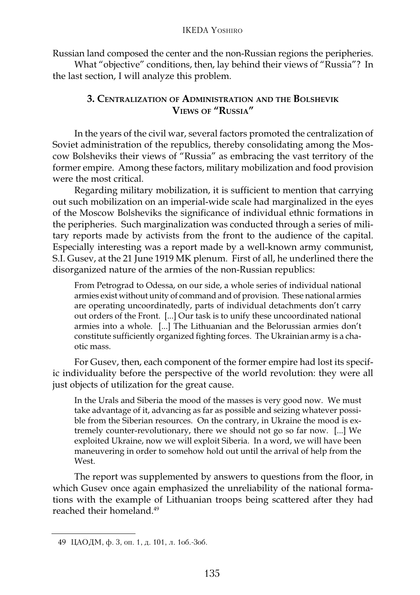Russian land composed the center and the non-Russian regions the peripheries.

What "objective" conditions, then, lay behind their views of "Russia"? In the last section, I will analyze this problem.

## **3. CENTRALIZATION OF ADMINISTRATION AND THE BOLSHEVIK VIEWS OF "RUSSIA"**

In the years of the civil war, several factors promoted the centralization of Soviet administration of the republics, thereby consolidating among the Moscow Bolsheviks their views of "Russia" as embracing the vast territory of the former empire. Among these factors, military mobilization and food provision were the most critical.

Regarding military mobilization, it is sufficient to mention that carrying out such mobilization on an imperial-wide scale had marginalized in the eyes of the Moscow Bolsheviks the significance of individual ethnic formations in the peripheries. Such marginalization was conducted through a series of military reports made by activists from the front to the audience of the capital. Especially interesting was a report made by a well-known army communist, S.I. Gusev, at the 21 June 1919 MK plenum. First of all, he underlined there the disorganized nature of the armies of the non-Russian republics:

From Petrograd to Odessa, on our side, a whole series of individual national armies exist without unity of command and of provision. These national armies are operating uncoordinatedly, parts of individual detachments don't carry out orders of the Front. [...] Our task is to unify these uncoordinated national armies into a whole. [...] The Lithuanian and the Belorussian armies don't constitute sufficiently organized fighting forces. The Ukrainian army is a chaotic mass.

For Gusev, then, each component of the former empire had lost its specific individuality before the perspective of the world revolution: they were all just objects of utilization for the great cause.

In the Urals and Siberia the mood of the masses is very good now. We must take advantage of it, advancing as far as possible and seizing whatever possible from the Siberian resources. On the contrary, in Ukraine the mood is extremely counter-revolutionary, there we should not go so far now. [...] We exploited Ukraine, now we will exploit Siberia. In a word, we will have been maneuvering in order to somehow hold out until the arrival of help from the West.

The report was supplemented by answers to questions from the floor, in which Gusev once again emphasized the unreliability of the national formations with the example of Lithuanian troops being scattered after they had reached their homeland.49

<sup>49</sup> ЦАОДМ, ф. 3, оп. 1, д. 101, л. 106.-306.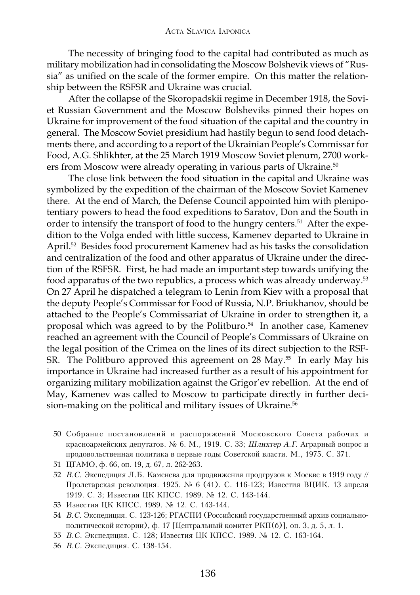The necessity of bringing food to the capital had contributed as much as military mobilization had in consolidating the Moscow Bolshevik views of "Russia" as unified on the scale of the former empire. On this matter the relationship between the RSFSR and Ukraine was crucial.

After the collapse of the Skoropadskii regime in December 1918, the Soviet Russian Government and the Moscow Bolsheviks pinned their hopes on Ukraine for improvement of the food situation of the capital and the country in general. The Moscow Soviet presidium had hastily begun to send food detachments there, and according to a report of the Ukrainian People's Commissar for Food, A.G. Shlikhter, at the 25 March 1919 Moscow Soviet plenum, 2700 workers from Moscow were already operating in various parts of Ukraine.<sup>50</sup>

The close link between the food situation in the capital and Ukraine was symbolized by the expedition of the chairman of the Moscow Soviet Kamenev there. At the end of March, the Defense Council appointed him with plenipotentiary powers to head the food expeditions to Saratov, Don and the South in order to intensify the transport of food to the hungry centers.<sup>51</sup> After the expedition to the Volga ended with little success, Kamenev departed to Ukraine in April.52 Besides food procurement Kamenev had as his tasks the consolidation and centralization of the food and other apparatus of Ukraine under the direction of the RSFSR. First, he had made an important step towards unifying the food apparatus of the two republics, a process which was already underway.53 On 27 April he dispatched a telegram to Lenin from Kiev with a proposal that the deputy People's Commissar for Food of Russia, N.P. Briukhanov, should be attached to the People's Commissariat of Ukraine in order to strengthen it, a proposal which was agreed to by the Politburo.<sup>54</sup> In another case, Kamenev reached an agreement with the Council of People's Commissars of Ukraine on the legal position of the Crimea on the lines of its direct subjection to the RSF-SR. The Politburo approved this agreement on 28 May.<sup>55</sup> In early May his importance in Ukraine had increased further as a result of his appointment for organizing military mobilization against the Grigor'ev rebellion. At the end of May, Kamenev was called to Moscow to participate directly in further decision-making on the political and military issues of Ukraine.<sup>56</sup>

<sup>50</sup> Собрание постановлений и распоряжений Московского Совета рабочих и красноармейских депутатов. № 6. М., 1919. С. 33; Шлихтер А.Г. Аграрный вопрос и продовольственная политика в первые годы Советской власти. М., 1975. С. 371.

<sup>51</sup> ЦГАМО, ф. 66, оп. 19, д. 67, л. 262-263.

<sup>52</sup> В.С. Экспедиция Л.Б. Каменева для продвижения продгрузов к Москве в 1919 году // Пролетарская революция. 1925. № 6 (41). С. 116-123; Известия ВЦИК. 13 апреля 1919. С. 3; Известия ЦК КПСС. 1989. № 12. С. 143-144.

<sup>53</sup> Известия ЦК КПСС. 1989. № 12. С. 143-144.

<sup>54</sup> B.C. Экспедиция. С. 123-126; РГАСПИ (Российский государственный архив социальнополитической истории), ф. 17 [Центральный комитет РКП(б)], оп. 3, д. 5, л. 1.

<sup>55</sup> В.С. Экспедиция. С. 128; Известия ЦК КПСС. 1989. № 12. С. 163-164.

<sup>56</sup> В.С. Экспелиция. С. 138-154.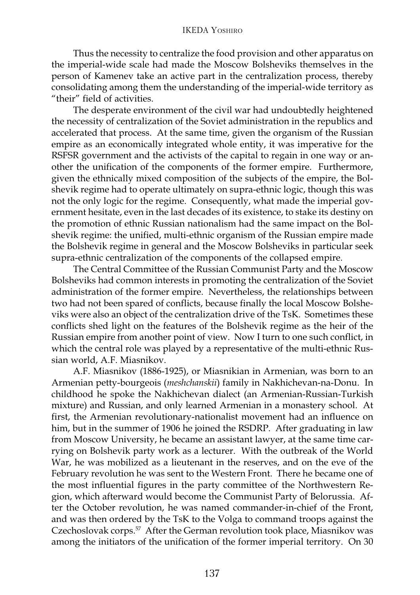#### IKEDA YOSHIRO

Thus the necessity to centralize the food provision and other apparatus on the imperial-wide scale had made the Moscow Bolsheviks themselves in the person of Kamenev take an active part in the centralization process, thereby consolidating among them the understanding of the imperial-wide territory as "their" field of activities.

The desperate environment of the civil war had undoubtedly heightened the necessity of centralization of the Soviet administration in the republics and accelerated that process. At the same time, given the organism of the Russian empire as an economically integrated whole entity, it was imperative for the RSFSR government and the activists of the capital to regain in one way or another the unification of the components of the former empire. Furthermore, given the ethnically mixed composition of the subjects of the empire, the Bolshevik regime had to operate ultimately on supra-ethnic logic, though this was not the only logic for the regime. Consequently, what made the imperial government hesitate, even in the last decades of its existence, to stake its destiny on the promotion of ethnic Russian nationalism had the same impact on the Bolshevik regime: the unified, multi-ethnic organism of the Russian empire made the Bolshevik regime in general and the Moscow Bolsheviks in particular seek supra-ethnic centralization of the components of the collapsed empire.

The Central Committee of the Russian Communist Party and the Moscow Bolsheviks had common interests in promoting the centralization of the Soviet administration of the former empire. Nevertheless, the relationships between two had not been spared of conflicts, because finally the local Moscow Bolsheviks were also an object of the centralization drive of the TsK. Sometimes these conflicts shed light on the features of the Bolshevik regime as the heir of the Russian empire from another point of view. Now I turn to one such conflict, in which the central role was played by a representative of the multi-ethnic Russian world, A.F. Miasnikov.

A.F. Miasnikov (1886-1925), or Miasnikian in Armenian, was born to an Armenian petty-bourgeois (*meshchanskii*) family in Nakhichevan-na-Donu. In childhood he spoke the Nakhichevan dialect (an Armenian-Russian-Turkish mixture) and Russian, and only learned Armenian in a monastery school. At first, the Armenian revolutionary-nationalist movement had an influence on him, but in the summer of 1906 he joined the RSDRP. After graduating in law from Moscow University, he became an assistant lawyer, at the same time carrying on Bolshevik party work as a lecturer. With the outbreak of the World War, he was mobilized as a lieutenant in the reserves, and on the eve of the February revolution he was sent to the Western Front. There he became one of the most influential figures in the party committee of the Northwestern Region, which afterward would become the Communist Party of Belorussia. After the October revolution, he was named commander-in-chief of the Front, and was then ordered by the TsK to the Volga to command troops against the Czechoslovak corps.<sup>57</sup> After the German revolution took place, Miasnikov was among the initiators of the unification of the former imperial territory. On 30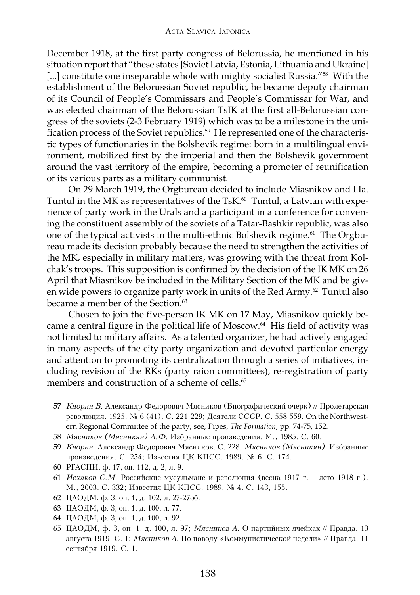December 1918, at the first party congress of Belorussia, he mentioned in his situation report that "these states [Soviet Latvia, Estonia, Lithuania and Ukraine] [...] constitute one inseparable whole with mighty socialist Russia."<sup>58</sup> With the establishment of the Belorussian Soviet republic, he became deputy chairman of its Council of People's Commissars and People's Commissar for War, and was elected chairman of the Belorussian TsIK at the first all-Belorussian congress of the soviets (2-3 February 1919) which was to be a milestone in the unification process of the Soviet republics.<sup>59</sup> He represented one of the characteristic types of functionaries in the Bolshevik regime: born in a multilingual environment, mobilized first by the imperial and then the Bolshevik government around the vast territory of the empire, becoming a promoter of reunification of its various parts as a military communist.

On 29 March 1919, the Orgbureau decided to include Miasnikov and I.Ia. Tuntul in the MK as representatives of the TsK.<sup>60</sup> Tuntul, a Latvian with experience of party work in the Urals and a participant in a conference for convening the constituent assembly of the soviets of a Tatar-Bashkir republic, was also one of the typical activists in the multi-ethnic Bolshevik regime.<sup>61</sup> The Orgbureau made its decision probably because the need to strengthen the activities of the MK, especially in military matters, was growing with the threat from Kolchak's troops. This supposition is confirmed by the decision of the IK MK on 26 April that Miasnikov be included in the Military Section of the MK and be given wide powers to organize party work in units of the Red Army.<sup>62</sup> Tuntul also became a member of the Section.<sup>63</sup>

Chosen to join the five-person IK MK on 17 May, Miasnikov quickly became a central figure in the political life of Moscow.<sup>64</sup> His field of activity was not limited to military affairs. As a talented organizer, he had actively engaged in many aspects of the city party organization and devoted particular energy and attention to promoting its centralization through a series of initiatives, including revision of the RKs (party raion committees), re-registration of party members and construction of a scheme of cells.<sup>65</sup>

- 62 ЦАОДМ, ф. 3, оп. 1, д. 102, л. 27-27об.
- 63 ЦАОДМ, ф. 3, оп. 1, д. 100, л. 77.
- 64 ЦАОДМ, ф. 3, оп. 1, д. 100, л. 92.
- 65 ЦАОДМ, ф. 3, оп. 1, д. 100, л. 97; *Мясников А*. О партийных ячейках // Правда. 13 августа 1919. С. 1; Мясников А. По поводу «Коммунистической недели» // Правда. 11 сентября 1919. С. 1.

<sup>57</sup> Кнорин В. Александр Федорович Мясников (Биографический очерк) // Пролетарская революция. 1925. № 6 (41). С. 221-229; Деятели СССР. С. 558-559. On the Northwestern Regional Committee of the party, see, Pipes, *The Formation*, pp. 74-75, 152.

<sup>58</sup> *Мясников (Мясникян) А.Ф.* Избранные произведения. М., 1985. С. 60.

<sup>59</sup> Кнорин. Александр Федорович Мясников. С. 228; Мясников (Мясникян). Избранные произведения. С. 254; Известия ЦК КПСС. 1989. № 6. С. 174.

<sup>60</sup> РГАСПИ, ф. 17, оп. 112, д. 2, л. 9.

<sup>61</sup> *Исхаков С.М.* Российские мусульмане и революция (весна 1917 г. – лето 1918 г.). М., 2003. С. 332; Известия ЦК КПСС. 1989. № 4. С. 143, 155.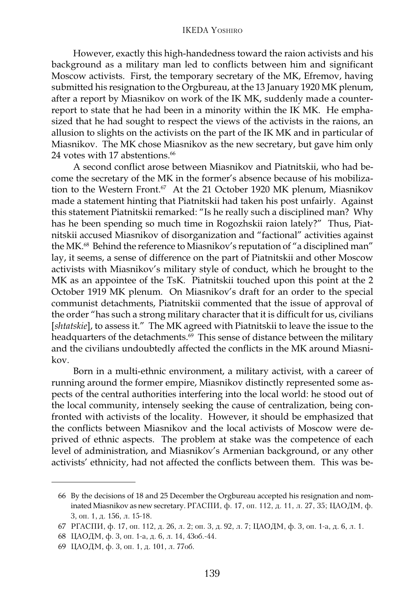#### IKEDA YOSHIRO

However, exactly this high-handedness toward the raion activists and his background as a military man led to conflicts between him and significant Moscow activists. First, the temporary secretary of the MK, Efremov, having submitted his resignation to the Orgbureau, at the 13 January 1920 MK plenum, after a report by Miasnikov on work of the IK MK, suddenly made a counterreport to state that he had been in a minority within the IK MK. He emphasized that he had sought to respect the views of the activists in the raions, an allusion to slights on the activists on the part of the IK MK and in particular of Miasnikov. The MK chose Miasnikov as the new secretary, but gave him only 24 votes with 17 abstentions.<sup>66</sup>

A second conflict arose between Miasnikov and Piatnitskii, who had become the secretary of the MK in the former's absence because of his mobilization to the Western Front.<sup>67</sup> At the 21 October 1920 MK plenum, Miasnikov made a statement hinting that Piatnitskii had taken his post unfairly. Against this statement Piatnitskii remarked: "Is he really such a disciplined man? Why has he been spending so much time in Rogozhskii raion lately?" Thus, Piatnitskii accused Miasnikov of disorganization and "factional" activities against the MK.<sup>68</sup> Behind the reference to Miasnikov's reputation of "a disciplined man" lay, it seems, a sense of difference on the part of Piatnitskii and other Moscow activists with Miasnikov's military style of conduct, which he brought to the MK as an appointee of the TsK. Piatnitskii touched upon this point at the 2 October 1919 MK plenum. On Miasnikov's draft for an order to the special communist detachments, Piatnitskii commented that the issue of approval of the order "has such a strong military character that it is difficult for us, civilians [*shtatskie*], to assess it." The MK agreed with Piatnitskii to leave the issue to the headquarters of the detachments.<sup>69</sup> This sense of distance between the military and the civilians undoubtedly affected the conflicts in the MK around Miasnikov.

Born in a multi-ethnic environment, a military activist, with a career of running around the former empire, Miasnikov distinctly represented some aspects of the central authorities interfering into the local world: he stood out of the local community, intensely seeking the cause of centralization, being confronted with activists of the locality. However, it should be emphasized that the conflicts between Miasnikov and the local activists of Moscow were deprived of ethnic aspects. The problem at stake was the competence of each level of administration, and Miasnikov's Armenian background, or any other activists' ethnicity, had not affected the conflicts between them. This was be-

<sup>66</sup> By the decisions of 18 and 25 December the Orgbureau accepted his resignation and nominated Miasnikov as new secretary.  $PTACHM$ ,  $\phi$ . 17, on. 112,  $\mu$ . 11,  $\pi$ . 27, 35; ЦАОДМ,  $\phi$ . 3, оп. 1, д. 156, л. 15-18.

<sup>67</sup> РГАСПИ, ф. 17, оп. 112, д. 26, л. 2; оп. 3, д. 92, л. 7; ЦАОДМ, ф. 3, оп. 1-а, д. 6, л. 1.

<sup>68</sup> ЦАОДМ, ф. 3, оп. 1-а, д. 6, л. 14, 43об.-44.

<sup>69</sup> ЦАОДМ, ф. 3, оп. 1, д. 101, л. 77об.